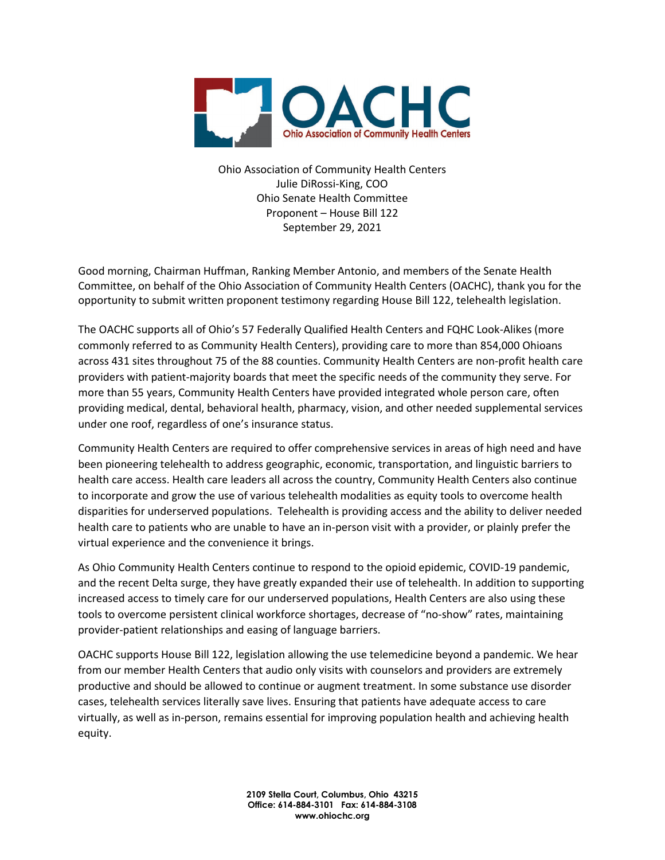

Ohio Association of Community Health Centers Julie DiRossi-King, COO Ohio Senate Health Committee Proponent – House Bill 122 September 29, 2021

Good morning, Chairman Huffman, Ranking Member Antonio, and members of the Senate Health Committee, on behalf of the Ohio Association of Community Health Centers (OACHC), thank you for the opportunity to submit written proponent testimony regarding House Bill 122, telehealth legislation.

The OACHC supports all of Ohio's 57 Federally Qualified Health Centers and FQHC Look-Alikes (more commonly referred to as Community Health Centers), providing care to more than 854,000 Ohioans across 431 sites throughout 75 of the 88 counties. Community Health Centers are non-profit health care providers with patient-majority boards that meet the specific needs of the community they serve. For more than 55 years, Community Health Centers have provided integrated whole person care, often providing medical, dental, behavioral health, pharmacy, vision, and other needed supplemental services under one roof, regardless of one's insurance status.

Community Health Centers are required to offer comprehensive services in areas of high need and have been pioneering telehealth to address geographic, economic, transportation, and linguistic barriers to health care access. Health care leaders all across the country, Community Health Centers also continue to incorporate and grow the use of various telehealth modalities as equity tools to overcome health disparities for underserved populations. Telehealth is providing access and the ability to deliver needed health care to patients who are unable to have an in-person visit with a provider, or plainly prefer the virtual experience and the convenience it brings.

As Ohio Community Health Centers continue to respond to the opioid epidemic, COVID-19 pandemic, and the recent Delta surge, they have greatly expanded their use of telehealth. In addition to supporting increased access to timely care for our underserved populations, Health Centers are also using these tools to overcome persistent clinical workforce shortages, decrease of "no-show" rates, maintaining provider-patient relationships and easing of language barriers.

OACHC supports House Bill 122, legislation allowing the use telemedicine beyond a pandemic. We hear from our member Health Centers that audio only visits with counselors and providers are extremely productive and should be allowed to continue or augment treatment. In some substance use disorder cases, telehealth services literally save lives. Ensuring that patients have adequate access to care virtually, as well as in-person, remains essential for improving population health and achieving health equity.